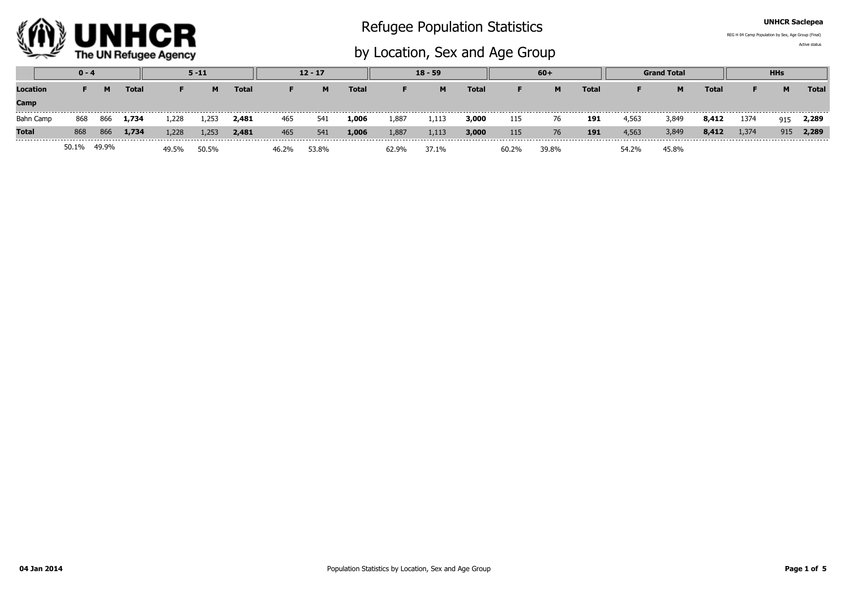

## Refugee Population Statistics

by Location, Sex and Age Group

UNHCR Saclepea

Active statusREG H 04 Camp Population by Sex, Age Group (Final)

|              | $0 - 4$ |       |              |       | $5 - 11$ |              | $12 - 17$ |       |              | $18 - 59$ |       |              | $60+$ |       |              | <b>Grand Total</b> |       |       | <b>HHs</b> |     |              |
|--------------|---------|-------|--------------|-------|----------|--------------|-----------|-------|--------------|-----------|-------|--------------|-------|-------|--------------|--------------------|-------|-------|------------|-----|--------------|
| Location     |         | M     | <b>Total</b> |       | M        | <b>Total</b> |           | M     | <b>Total</b> |           | M     | <b>Total</b> | F.    | M     | <b>Total</b> |                    | M     | Total |            | M   | <b>Total</b> |
| Camp         |         |       |              |       |          |              |           |       |              |           |       |              |       |       |              |                    |       |       |            |     |              |
| Bahn Camp    | 868     | 866   | 1,734        | 1,228 | .,253    | 2,481        | 465       | 541   | 1,006        | 1,887     | 1,113 | 3,000        | 115   | 76    | 191          | 4,563              | 3,849 | 8,412 | 1374       | 915 | 2,289        |
| <b>Total</b> | 868     | 866   | 1,734        | 1,228 | 1,253    | 2,481        | 465       | 541   | 1,006        | 1,887     | 1,113 | 3,000        | 115   | 76    | 191          | 4,563              | 3,849 | 8,412 | 1,374      | 915 | 2,289        |
|              | 50.1%   | 49.9% |              | 49.5% | 50.5%    |              |           | 53.8% |              | 62.9%     | 37.1% |              | 60.2% | 39.8% |              | 54.2%              | 45.8% |       |            |     |              |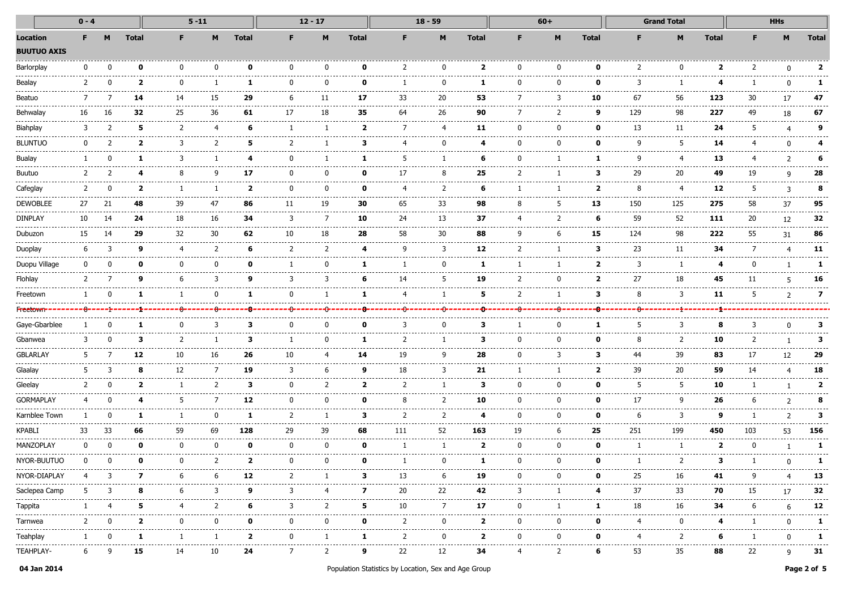|                                | $0 - 4$ |          |                         |                    | $5 - 11$    |                                                                                                                                                                                                                                                                                                                                                                                                                                                                                             | $12 - 17$                                                                                                                                                                                                                                                                                                                                                                                                                                                                       |              |                         | $18 - 59$     | $60+$                    |                 |                     | <b>Grand Total</b> |               |               | <b>HHs</b>          |               |     |               |                          |
|--------------------------------|---------|----------|-------------------------|--------------------|-------------|---------------------------------------------------------------------------------------------------------------------------------------------------------------------------------------------------------------------------------------------------------------------------------------------------------------------------------------------------------------------------------------------------------------------------------------------------------------------------------------------|---------------------------------------------------------------------------------------------------------------------------------------------------------------------------------------------------------------------------------------------------------------------------------------------------------------------------------------------------------------------------------------------------------------------------------------------------------------------------------|--------------|-------------------------|---------------|--------------------------|-----------------|---------------------|--------------------|---------------|---------------|---------------------|---------------|-----|---------------|--------------------------|
| Location<br><b>BUUTUO AXIS</b> | F.      |          | <b>Total</b>            | F.                 |             | <b>Total</b>                                                                                                                                                                                                                                                                                                                                                                                                                                                                                | F.                                                                                                                                                                                                                                                                                                                                                                                                                                                                              |              | <b>Total</b>            |               |                          | <b>Total</b>    | F.                  |                    | <b>Total</b>  |               | м                   | <b>Total</b>  |     | M             | <b>Total</b>             |
| Barlorplay                     | n       |          | ŋ                       | n                  | n           | ŋ                                                                                                                                                                                                                                                                                                                                                                                                                                                                                           | <sup>0</sup>                                                                                                                                                                                                                                                                                                                                                                                                                                                                    | ŋ            | ŋ                       | $\mathcal{P}$ | $\Omega$                 | $\overline{2}$  | ŋ                   |                    | ŋ             | $\mathcal{P}$ | $\Omega$            | כ             |     | n             | $\overline{\phantom{a}}$ |
| Bealay                         |         |          | 2                       | n                  |             |                                                                                                                                                                                                                                                                                                                                                                                                                                                                                             | n                                                                                                                                                                                                                                                                                                                                                                                                                                                                               |              | Ω                       |               | n                        |                 |                     |                    | o             | 3             |                     |               |     |               |                          |
| Beatuo                         |         |          | 14                      | 14                 | 15          | 29                                                                                                                                                                                                                                                                                                                                                                                                                                                                                          | 6                                                                                                                                                                                                                                                                                                                                                                                                                                                                               | 11           | 17                      | 33            | 20                       | 53              | 7                   |                    | 10            | 67            | 56                  | 123           | 30  | 17            | 47                       |
| Behwalay                       | 16      |          | 32                      | .<br>25            | -----<br>36 | 61                                                                                                                                                                                                                                                                                                                                                                                                                                                                                          | 17                                                                                                                                                                                                                                                                                                                                                                                                                                                                              | 18           | 35                      | 64            | ------<br>26             | 90              |                     |                    | q             | 129           | -------------<br>98 | ------<br>227 | 49  | 18            | 67                       |
| Biahplay                       |         |          | 5                       | $\mathcal{P}$      |             | 6                                                                                                                                                                                                                                                                                                                                                                                                                                                                                           |                                                                                                                                                                                                                                                                                                                                                                                                                                                                                 |              | $\mathbf{z}$            | 7             | 4                        | 11              |                     |                    | n             | 13            | 11                  | 24            | 5   |               |                          |
| <b>BLUNTUC</b>                 |         |          | 2                       | 3                  |             | 5                                                                                                                                                                                                                                                                                                                                                                                                                                                                                           |                                                                                                                                                                                                                                                                                                                                                                                                                                                                                 |              | з                       |               |                          |                 |                     |                    | n             | q             | 5                   | 14            |     |               |                          |
| <b>Bualay</b>                  |         |          |                         | 3                  |             |                                                                                                                                                                                                                                                                                                                                                                                                                                                                                             | n                                                                                                                                                                                                                                                                                                                                                                                                                                                                               |              | ı                       | 5             |                          | 6               |                     |                    |               | q             | 4                   | 13            |     | $\mathcal{P}$ |                          |
| <b>Buutuo</b>                  |         |          |                         | 8                  |             | 17                                                                                                                                                                                                                                                                                                                                                                                                                                                                                          | n                                                                                                                                                                                                                                                                                                                                                                                                                                                                               | n            | n                       | 17            | 8                        | 25              |                     |                    | з             | 29            | 20                  | 49            | 19  | a             | 28                       |
| Cafeglay                       |         |          | 7                       |                    |             | 2                                                                                                                                                                                                                                                                                                                                                                                                                                                                                           | n                                                                                                                                                                                                                                                                                                                                                                                                                                                                               | n            | Ω                       |               |                          | 6               |                     |                    | 2             | 8             |                     | 12            | 5   | ٦             | я                        |
| <b>DEWOBLEE</b>                | 27      |          | 48                      | 39                 | 47          | 86                                                                                                                                                                                                                                                                                                                                                                                                                                                                                          | 11                                                                                                                                                                                                                                                                                                                                                                                                                                                                              | 19           | 30                      | 65            | 33                       | 98              |                     |                    | 13            | 150           | 125                 | 275           | 58  | 37            | 95                       |
| <b>DINPLAY</b>                 | 10      | 14       | 24                      | 18                 | 16          | 34                                                                                                                                                                                                                                                                                                                                                                                                                                                                                          | 3                                                                                                                                                                                                                                                                                                                                                                                                                                                                               | 7            | 10                      | 24            | 13                       | 37              | 4                   |                    | 6             | 59            | 52                  | 111<br>.      | 20  | 12            | 32                       |
| Dubuzon                        | 15      |          | 29                      | 32                 | 30          | 62                                                                                                                                                                                                                                                                                                                                                                                                                                                                                          | 10                                                                                                                                                                                                                                                                                                                                                                                                                                                                              | 18           | 28                      | 58            | 30                       | 88              | q                   |                    | 15            | 124           | 98                  | 222           | 55  | 31            | 86                       |
| Duoplay                        | 6       |          | q                       |                    |             | 6                                                                                                                                                                                                                                                                                                                                                                                                                                                                                           |                                                                                                                                                                                                                                                                                                                                                                                                                                                                                 |              |                         | q             | 3                        | 12              |                     |                    | з             | 23            | 11                  | 34            |     |               | 11                       |
| Duopu Village                  |         |          | o                       |                    |             | n                                                                                                                                                                                                                                                                                                                                                                                                                                                                                           |                                                                                                                                                                                                                                                                                                                                                                                                                                                                                 |              |                         |               | n                        |                 |                     |                    | 2             | 3             |                     |               |     |               |                          |
| Flohlay                        |         |          |                         | 6                  | 3           | q                                                                                                                                                                                                                                                                                                                                                                                                                                                                                           | 3                                                                                                                                                                                                                                                                                                                                                                                                                                                                               | 3            | 6                       | 14            | 5                        | 19              | 2                   |                    | 2             | 27            | 18                  | 45            | 11  |               | 16                       |
| Freetown                       |         |          |                         |                    | n           |                                                                                                                                                                                                                                                                                                                                                                                                                                                                                             | n                                                                                                                                                                                                                                                                                                                                                                                                                                                                               |              |                         |               |                          | 5               | 2                   |                    | з             | 8             | 3                   | 11            | 5   |               | 7                        |
|                                |         |          |                         |                    |             |                                                                                                                                                                                                                                                                                                                                                                                                                                                                                             |                                                                                                                                                                                                                                                                                                                                                                                                                                                                                 |              |                         |               |                          |                 |                     |                    |               |               |                     |               |     |               |                          |
| Gaye-Gbarblee                  |         |          |                         |                    |             | з                                                                                                                                                                                                                                                                                                                                                                                                                                                                                           |                                                                                                                                                                                                                                                                                                                                                                                                                                                                                 |              |                         |               |                          |                 |                     |                    |               |               |                     |               |     |               |                          |
| Gbanwea                        |         |          | з                       | 2                  |             | з                                                                                                                                                                                                                                                                                                                                                                                                                                                                                           |                                                                                                                                                                                                                                                                                                                                                                                                                                                                                 | n            | 1                       | 2             |                          | з.              |                     |                    | n             | 8             | 2                   | 10            |     |               | з                        |
| <b>GBLARLAY</b>                | 5       |          | 12                      | 10                 | 16          | 26                                                                                                                                                                                                                                                                                                                                                                                                                                                                                          | 10                                                                                                                                                                                                                                                                                                                                                                                                                                                                              |              | 14                      | 19            | 9                        | 28              |                     |                    | з             | 44            | 39                  | 83            | 17  | 12            | 29                       |
| Glaalay                        |         |          | 8                       | 12                 | -7          | 19                                                                                                                                                                                                                                                                                                                                                                                                                                                                                          | 3                                                                                                                                                                                                                                                                                                                                                                                                                                                                               | h            | q                       | 18            | 3                        | 21              |                     |                    | 2             | 39            | 20                  | 59            | 14  |               | 18                       |
| Gleelay                        |         |          | 2                       |                    |             | з                                                                                                                                                                                                                                                                                                                                                                                                                                                                                           | n                                                                                                                                                                                                                                                                                                                                                                                                                                                                               |              | 2                       |               |                          | 3               |                     |                    | n             | 5             | 5                   | 10            |     |               |                          |
| GORMAPLAY                      |         |          |                         | 5                  |             | 12                                                                                                                                                                                                                                                                                                                                                                                                                                                                                          | U                                                                                                                                                                                                                                                                                                                                                                                                                                                                               | O            | ŋ                       | 8             |                          | 10              | n                   |                    | ŋ             | 17            | q                   | 26            |     |               |                          |
| Karnblee Town                  |         |          |                         |                    |             |                                                                                                                                                                                                                                                                                                                                                                                                                                                                                             |                                                                                                                                                                                                                                                                                                                                                                                                                                                                                 |              | з                       |               |                          |                 |                     |                    | o             |               | 3                   | q             |     |               |                          |
| KPABLI                         | 33      | 33       | 66                      | 59                 | 69          | 128                                                                                                                                                                                                                                                                                                                                                                                                                                                                                         | 29                                                                                                                                                                                                                                                                                                                                                                                                                                                                              | 39           | 68                      | 111           | 52                       | 163             | 19                  |                    | 25            | 251           | 199                 | 450           | 103 | 53            | 156                      |
| MANZOPLAY                      | 0       |          | 0                       | 0                  | 0           | o                                                                                                                                                                                                                                                                                                                                                                                                                                                                                           | 0                                                                                                                                                                                                                                                                                                                                                                                                                                                                               | 0            | n                       |               | -1                       | $\mathbf{2}$    | $\Omega$            |                    | 0             |               |                     | -2            |     |               |                          |
| NYOR-BUUTUC                    |         |          | n                       | $\Omega$<br>------ | 2           | $\mathbf{z}$                                                                                                                                                                                                                                                                                                                                                                                                                                                                                | 0<br>$\frac{1}{2} \left( \frac{1}{2} \right) \left( \frac{1}{2} \right) \left( \frac{1}{2} \right) \left( \frac{1}{2} \right) \left( \frac{1}{2} \right) \left( \frac{1}{2} \right) \left( \frac{1}{2} \right) \left( \frac{1}{2} \right) \left( \frac{1}{2} \right) \left( \frac{1}{2} \right) \left( \frac{1}{2} \right) \left( \frac{1}{2} \right) \left( \frac{1}{2} \right) \left( \frac{1}{2} \right) \left( \frac{1}{2} \right) \left( \frac{1}{2} \right) \left( \frac$ | $\Omega$     | 0<br>-----              | .             | $\Omega$<br>------------ | 1<br>---------- | $\Omega$<br>------- | <sup>n</sup>       | 0             | .             | 2<br>.              | з             |     | n             |                          |
| NYOR-DIAPLAY                   |         | 4 3      | $\overline{\mathbf{z}}$ | 6                  | 6           | 12                                                                                                                                                                                                                                                                                                                                                                                                                                                                                          | 2                                                                                                                                                                                                                                                                                                                                                                                                                                                                               | $\mathbf{1}$ | 3                       | 13            | 6                        | 19              | $\mathbf 0$         | $\bf{0}$           | $\mathbf{0}$  | 25            | 16                  | 41            | 9   | 4             | 13                       |
| Saclepea Camp                  | -5      | 3        | 8                       | 6                  | 3           | 9                                                                                                                                                                                                                                                                                                                                                                                                                                                                                           | 3                                                                                                                                                                                                                                                                                                                                                                                                                                                                               | 4            | $\overline{\mathbf{z}}$ | 20            | 22                       | 42              | 3                   | 1                  | 4             | 37            | 33                  | 70            | 15  | 17            | 32<br>-------            |
| Tappita                        | 1       | -4       | 5<br>.                  | -4<br>--------     | 2<br>.      | 6<br>$\begin{array}{cccccccccccccc} \multicolumn{2}{c}{} & \multicolumn{2}{c}{} & \multicolumn{2}{c}{} & \multicolumn{2}{c}{} & \multicolumn{2}{c}{} & \multicolumn{2}{c}{} & \multicolumn{2}{c}{} & \multicolumn{2}{c}{} & \multicolumn{2}{c}{} & \multicolumn{2}{c}{} & \multicolumn{2}{c}{} & \multicolumn{2}{c}{} & \multicolumn{2}{c}{} & \multicolumn{2}{c}{} & \multicolumn{2}{c}{} & \multicolumn{2}{c}{} & \multicolumn{2}{c}{} & \multicolumn{2}{c}{} & \multicolumn{2}{c}{} & \$ | 3<br>.                                                                                                                                                                                                                                                                                                                                                                                                                                                                          | 2            | 5                       | 10            | 7                        | 17              | $\bf{0}$            | -1                 | 1<br>-------- | 18            | 16                  | 34<br>.       | 6   | 6<br>------   | 12<br>$- - - - - -$      |
| Tarnwea                        | 2       | $\Omega$ | 2                       | $\bf{0}$           | 0           | 0                                                                                                                                                                                                                                                                                                                                                                                                                                                                                           | 0                                                                                                                                                                                                                                                                                                                                                                                                                                                                               | 0            | $\mathbf 0$             | 2             | 0                        | $\mathbf{2}$    | $\bf{0}$            | 0                  | 0             | 4             | 0                   | 4             | -1  | $\Omega$      | 1                        |
| Teahplay                       | 1       | 0        | 1                       | 1                  | 1           | $\overline{2}$                                                                                                                                                                                                                                                                                                                                                                                                                                                                              | $\mathbf{0}$                                                                                                                                                                                                                                                                                                                                                                                                                                                                    | 1            | 1                       | 2             | $\mathbf 0$              | $\mathbf{2}$    | $\bf{0}$            | 0                  | $\mathbf{0}$  | -4            | 2                   | 6             | 1   | $\mathbf{0}$  | 1                        |
| TEAHPLAY-                      | 6       | 9        | 15                      | 14                 | 10          | 24                                                                                                                                                                                                                                                                                                                                                                                                                                                                                          | 7                                                                                                                                                                                                                                                                                                                                                                                                                                                                               | 2            | 9                       | 22            | 12                       | 34              | 4                   | $\overline{2}$     | 6             | 53            | 35                  | 88            | 22  | 9             | 31                       |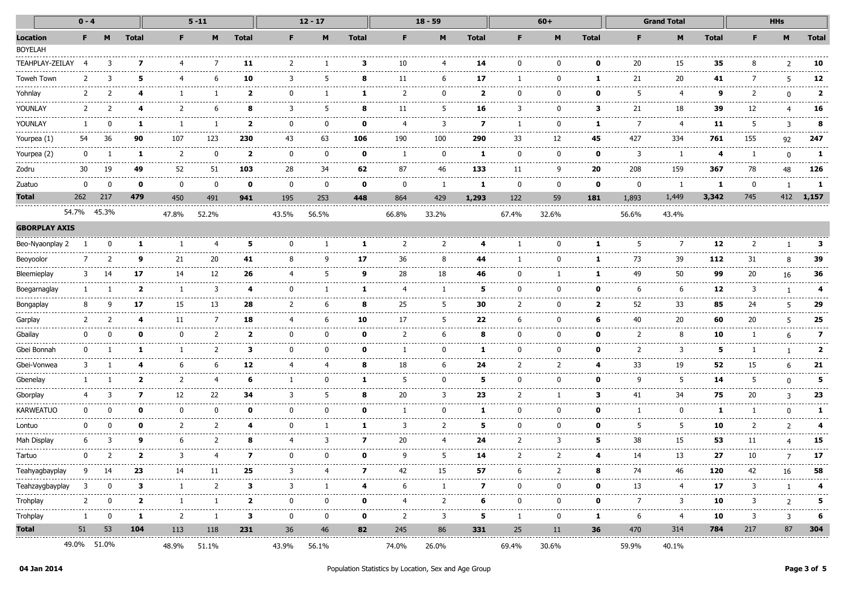|                      | $0 - 4$      |               |                            |                      | $5 - 11$     |               |                                | $12 - 17$      |                                            | $18 - 59$         |                               |                                             | $60+$    |                                   |                                            | <b>Grand Total</b>        |                     |                  | <b>HHs</b>  |               |               |
|----------------------|--------------|---------------|----------------------------|----------------------|--------------|---------------|--------------------------------|----------------|--------------------------------------------|-------------------|-------------------------------|---------------------------------------------|----------|-----------------------------------|--------------------------------------------|---------------------------|---------------------|------------------|-------------|---------------|---------------|
| Location             | F.           |               | <b>Total</b>               | F.                   | M            | <b>Total</b>  | F.                             | M              | <b>Total</b>                               | F.                | M                             | <b>Total</b>                                | F        | M                                 | <b>Total</b>                               | F                         | M                   | <b>Total</b>     | F.          | M             | <b>Total</b>  |
| <b>BOYELAH</b>       |              |               |                            |                      |              |               |                                |                |                                            |                   |                               |                                             |          |                                   |                                            |                           |                     |                  |             |               |               |
| TEAHPLAY-ZEILAY      |              | 3             | 7                          | 4                    | -7           | 11            | 2                              |                | з                                          | 10                | 4                             | 14                                          | 0        |                                   | o                                          | 20                        | 15                  | 35               |             |               | 10            |
| Toweh Town           | 2            | 3             | 5                          | 4                    | -6           | 10            | 3                              | 5              | 8                                          | 11                | 6                             | 17                                          |          | $\Omega$                          | 1                                          | 21                        | 20                  | 41               |             | 5             | 12            |
| Yohnlay              |              |               |                            |                      |              | 2             | 0                              |                |                                            | -2                | 0                             | 2                                           | 0        |                                   | 0                                          | 5                         | 4                   | 9                |             | <sup>0</sup>  | 2             |
| YOUNLAY              | 2            |               |                            | 2                    | 6            | 8             | 3                              | 5              | 8                                          | 11                | 5                             | 16                                          | 3        |                                   | з                                          | 21                        | .<br>18             | 39               | 12          | 4             | 16            |
| YOUNLAY              |              | 0             | 1                          |                      |              | 2             | 0                              | 0              | 0                                          | 4                 | 3                             | .<br>7                                      | -1       | 0                                 | 1                                          | $\cdots\cdots\cdots$<br>7 | -----------<br>-4   | .<br>11          | -5          | 3             | 8             |
| Yourpea (1)          | 54           | 36            | 90                         | 107                  | 123          | 230           | 43                             | 63             | 106                                        | 190               | 100                           | 290                                         | 33       | 12                                | 45                                         | 427                       | 334                 | 761              | 155         | 92            | 247           |
| Yourpea (2)          | $\bf{0}$     |               | 1                          | 2                    | 0            | 2             | 0                              | 0              | 0                                          | -1                | 0                             | 1                                           | 0        | 0                                 | 0                                          | 3                         | -1                  | 4                |             | $\Omega$      | 1             |
| Zodru                | 30           | 19            | $\cdots\cdots\cdots$<br>49 | ------<br>52         | -----<br>51  | ------<br>103 | -----<br>28                    | -----<br>34    | 62                                         | $- - - - -$<br>87 | -----<br>46                   | 133                                         | .<br>11  | 9                                 | -----<br>20                                | .<br>208                  | 159                 | 367              | 78          | 48            | .<br>126      |
| Zuatuo               | 0            | 0             | 0                          | 0                    | 0            | 0             | 0                              | 0              | $\mathbf{o}$                               | 0                 | 1                             | 1                                           | 0        | 0                                 | $\mathbf 0$                                | 0                         | -1                  | -1               | $\mathbf 0$ | 1             | 1             |
| <b>Total</b>         | 262          | 217           | 479                        | 450                  | 491          | 941           | 195                            | 253            | 448                                        | 864               | 429                           | 1,293                                       | 122      | 59                                | 181                                        | 1,893                     | 1,449               | 3,342            | 745         |               | 412 1,157     |
|                      |              | 54.7% 45.3%   |                            | 47.8%                | 52.2%        |               | 43.5%                          | 56.5%          |                                            | 66.8%             | 33.2%                         |                                             | 67.4%    | 32.6%                             |                                            | 56.6%                     | 43.4%               |                  |             |               |               |
| <b>GBORPLAY AXIS</b> |              |               |                            |                      |              |               |                                |                |                                            |                   |                               |                                             |          |                                   |                                            |                           |                     |                  |             |               |               |
| Beo-Nyaonplay 2      |              | n             | 1                          |                      |              | 5             | 0                              |                | 1                                          | -2                | 2                             |                                             |          |                                   | 1                                          | 5                         | 7                   | 12               |             |               | з             |
| Beoyoolor            | 7            | $\mathcal{P}$ | 9                          | 21                   | 20           | 41            | 8                              | 9              | 17                                         | 36                | 8                             | 44                                          | -1       | <sup>0</sup>                      | 1                                          | 73                        | 39                  | 112              | 31          | 8             | 39            |
| Bleemieplay          | 3            | 14            | 17                         | 14                   | ----<br>12   | 26            | 4                              | 5              | 9                                          | 28                | .<br>18                       | 46                                          | 0        |                                   | 1                                          | 49                        | .<br>50             | 99               | 20          | 16            | 36            |
| Boegarnaglay         |              |               | 2                          | -1                   | 3            | 4             | 0                              |                | 1                                          |                   | 1                             | 5                                           | 0        |                                   | 0                                          | 6                         | -6                  | 12               | 3           |               | 4             |
| <b>Bongaplay</b>     | 8            | q             | 17                         | 15                   | 13           | 28            | 2                              | 6              | 8                                          | 25                | 5                             | 30                                          | 2        | $\Omega$                          | 2                                          | 52                        | -----<br>33         | 85               | 24          | 5             | 29            |
| Garplay              | 2            |               | 4                          | 11                   |              | 18            | 4                              | 6              | 10                                         | 17                | 5                             | 22                                          | 6        | <sup>0</sup>                      | 6                                          | 40                        | 20                  | 60               | 20          | 5             | 25            |
| Gbailay              | 0            |               | n                          | $\Omega$             | 2            | 2             | 0                              | <sup>0</sup>   | 0                                          | 2                 | 6                             | 8                                           | 0        |                                   | 0                                          | 2                         | ------<br>8         | 10               |             | 6             | 7             |
| Gbei Bonnah          | $\Omega$     |               |                            |                      | 2            | з             | 0                              | 0              | 0                                          |                   | $\Omega$                      | 1                                           | 0        | <sup>0</sup>                      | 0                                          | 2                         | 3                   | 5                |             |               | 2             |
| Gbei-Vonwea          | 3            |               |                            | 6                    | 6            | 12            | 4                              | 4              | 8                                          | 18                | 6                             | 24                                          | 2        | 2                                 | 4                                          | 33                        | 19                  | 52               | 15          | 6             | 21            |
| Gbenelay             |              |               | 2                          | 2                    | 4            | 6             |                                | <sup>0</sup>   | 1                                          | 5                 | <sup>0</sup>                  | 5                                           | $\Omega$ | <sup>0</sup>                      | 0                                          | 9                         | 5                   | 14               | 5           | $\Omega$      | 5             |
| Gborplay             |              |               | 7                          | -----<br>12          | .<br>22      | 34            | 3                              | 5              | 8                                          | 20                | $- - - - -$<br>3              | 23                                          | 2        |                                   | з                                          | 41                        | .<br>34             | 75               | 20          | 3             | 23            |
| <b>KARWEATUO</b>     | $\Omega$     | n             | $\mathbf{o}$               | $\Omega$             | 0            | 0             | 0                              | 0              | 0                                          |                   | 0                             | 1                                           | 0        | <sup>0</sup>                      | 0                                          | -1                        | $\Omega$            | 1                |             | $\Omega$      | 1             |
| Lontuo               | 0            | n             | 0                          | 2                    | 2            | 4             | 0                              | -1             | 1                                          | 3                 | 2                             | 5                                           | 0        | $\Omega$                          | 0                                          | 5                         | 5                   | 10               | 2           | $\mathcal{P}$ |               |
| Mah Display          | 6            | 3             | 9                          | 6                    | 2            | 8             | 4                              | 3              | 7                                          | 20                | 4                             | 24                                          | 2        | 3                                 | 5                                          | 38                        | 15                  | 53               | 11          | 4             | 15            |
| Tartuo               | 0            |               | 2                          | 3                    | 4            | 7             | 0                              | 0              | 0                                          | 9                 | 5                             | 14                                          | 2        | 2                                 | 4                                          | 14                        | .<br>13             | 27               | 10          | 7             | -------<br>17 |
| Teahyagbayplay       |              | 9 14          | 23                         | 14                   | 11           | 25            | 3                              | 4              | 7                                          | 42                | 15                            | 57                                          | 6        | 2                                 | 8                                          | 74                        | 46                  | 120              | 42          | 16            | 58            |
| Teahzaygbayplay      | 3            | 0             | 3                          | $\mathbf{1}$         | 2            | 3             | 3                              | $\overline{1}$ | 4                                          | .<br>6            | ----------<br>1               | --------<br>$\boldsymbol{7}$                | $\Omega$ | $\Omega$                          | 0                                          | .<br>13                   | .<br>4              | .<br>17          | 3           | $\mathbf{1}$  |               |
| Trohplay             | 2            | 0             | $\mathbf{2}$               | 1                    | -1           | $\mathbf{2}$  | .<br>0                         | 0              | $\mathbf 0$                                | 4                 | ------------------------<br>2 | ----------------<br>6                       | 0        | ---------------------<br>$\bf{0}$ | $\mathbf 0$                                | 7                         | --------------<br>3 | ----------<br>10 | 3           | 2             | 5             |
| Trohplay             | $\mathbf{1}$ | 0             | 1                          | $\overline{2}$       | $\mathbf{1}$ | 3             | $\mathbf{0}$                   | $\bf{0}$       | 0                                          | $\overline{2}$    | 3                             | 5                                           | 1        | 0                                 | -1                                         | 6                         | 4                   | 10               | 3           | 3             | 6             |
| <b>Total</b>         | 51           | 53            | 104                        | 113<br>------------- | 118          | 231           | 36<br>------------------------ | 46             | 82<br>------------------------------------ | 245               | 86                            | 331<br>------------------------------------ | 25       | 11                                | 36<br>------------------------------------ | 470                       | 314                 | 784              | 217         | 87            | 304           |
|                      |              | 49.0% 51.0%   |                            | 48.9%                | 51.1%        |               | 43.9%                          | 56.1%          |                                            | 74.0%             | 26.0%                         |                                             | 69.4%    | 30.6%                             |                                            | 59.9%                     | 40.1%               |                  |             |               |               |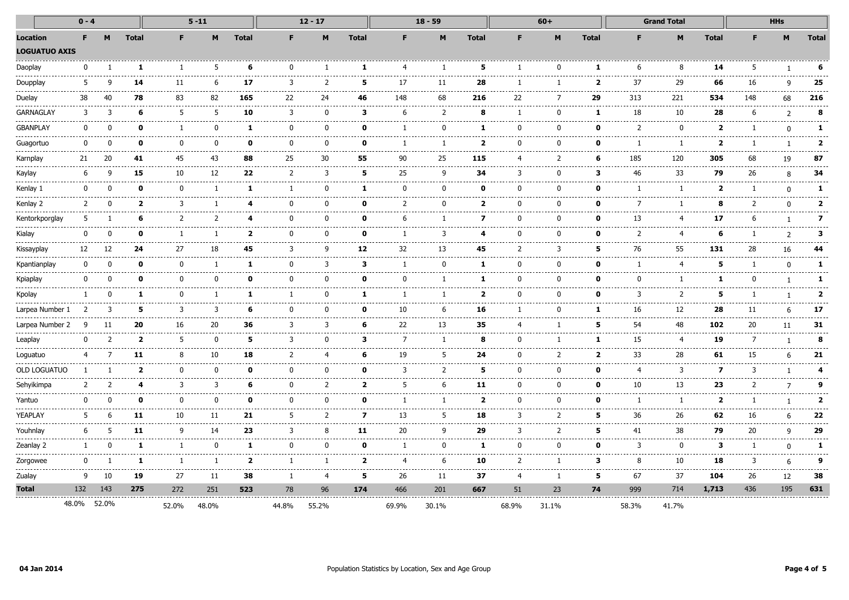|                      | $0 - 4$      |             |                         | $5 - 11$               |                   |                         | $12 - 17$             |                |                | $18 - 59$      |              |                                   | $60+$             |               |              | <b>Grand Total</b> |                 |                     | <b>HHs</b>   |                |                                 |
|----------------------|--------------|-------------|-------------------------|------------------------|-------------------|-------------------------|-----------------------|----------------|----------------|----------------|--------------|-----------------------------------|-------------------|---------------|--------------|--------------------|-----------------|---------------------|--------------|----------------|---------------------------------|
| <b>Location</b>      | F.           | M           | <b>Total</b>            | F.                     | M                 | <b>Total</b>            | F.                    | M              | <b>Total</b>   | F              | M            | <b>Total</b>                      | F                 | M             | <b>Total</b> | F                  | M               | <b>Total</b>        | F.           | M              | <b>Total</b>                    |
| <b>LOGUATUO AXIS</b> |              |             |                         |                        |                   |                         |                       |                |                |                |              |                                   |                   |               |              |                    |                 |                     |              |                |                                 |
| Daoplay              | o            |             | 1                       | -1                     | 5                 | 6                       | n                     |                |                |                |              | 5                                 |                   |               | 1            | 6                  | 8               | 14                  | 5            |                | 6                               |
| Doupplay             | 5            |             | 14                      | 11                     | 6                 | 17                      | 3                     | 2              | 5              | 17             | 11           | 28                                | -1                |               | $\mathbf{2}$ | 37                 | 29              | 66                  | 16           | 9              | 25                              |
| Duelay               | 38           | 40          | 78                      | 83                     | 82                | 165                     | 22                    | 24             | 46             | 148            | 68           | 216                               | 22                | 7             | 29           | 313                | 221             | 534                 | 148          | 68             | 216                             |
| <b>GARNAGLAY</b>     | 3            | 3           | 6                       | 5                      | 5                 | 10                      | 3                     | $\Omega$       | 3              | 6              | 2            | 8                                 | -1                | ŋ             | 1            | 18                 | 10              | 28                  | 6            | $\overline{2}$ | 8                               |
| <b>GBANPLAY</b>      | n            |             | O                       | -1                     | U                 | 1                       | $\Omega$              | <sup>0</sup>   | n              |                | n            | 1                                 | O                 | n             | O            | 2                  | $\Omega$        | 2                   |              | ŋ              | 1                               |
| Guagortuo            | $\Omega$     |             | 0                       | <sup>0</sup>           | O                 | 0                       | $\Omega$              | $\mathbf{0}$   | n              |                | -1           | $\mathbf{2}$                      | <sup>0</sup>      | n             | ŋ            | -1                 | -1              | 2                   |              | $\mathbf{1}$   | $\mathbf{2}$                    |
| Karnplay             | 21           | 20          | 41                      | 45                     | 43                | 88                      | 25                    | 30             | 55             | 90             | 25           | 115                               | $\overline{4}$    | 2             | 6            | 185                | 120             | 305                 | 68           | 19             | 87<br>.                         |
| Kaylay               | 6            | q           | 15                      | 10                     | 12                | 22                      | $\overline{2}$        | 3              | 5              | 25             | 9            | 34                                | 3                 | $\Omega$      | з            | 46                 | 33              | 79                  | 26           | 8              | 34                              |
| Kenlay 1             | 0            | $\Omega$    | 0                       | 0                      | $\overline{1}$    | 1                       | -1                    | 0              | 1              | ŋ              | <sup>n</sup> | ŋ                                 | 0                 | ŋ             | 0            | -1                 | п.              | $\overline{2}$      |              | $\Omega$       | 1                               |
| Kenlay 2             | 2            | $\Omega$    |                         | 2<br>3                 |                   | 4                       | $\Omega$              | 0              | 0              | 2              | <sup>0</sup> | $\mathbf{2}$                      | <sup>0</sup>      | n             | ŋ            | 7                  |                 | 8                   | 2            | $\Omega$       | $\mathbf{2}$<br>--------------- |
| Kentorkporglay       | 5            |             | 6                       | ------<br>2            | 2                 | $\mathbf{a}$            | $\Omega$              | $\mathbf{0}$   | 0              | 6              | -1           | 7                                 | <sup>0</sup>      | $\Omega$      | ŋ            | د د د د د<br>13    | -4              | 17                  | 6            | $\mathbf{1}$   | 7                               |
| Kialay               | 0            | $\Omega$    | O                       | $\mathbf{1}$           | -1                | $\overline{\mathbf{2}}$ | $\mathbf{0}$          | 0              | 0              | -1             | 3            | 4                                 | $\Omega$          | ŋ             | ŋ            | $\overline{2}$     | $\overline{4}$  | 6                   | -1           | $\overline{2}$ | 3                               |
| Kissayplay           | 12           | 12          | 24                      | 27                     | 18                | 45                      | 3                     | 9              | 12             | 32             | 13           | 45                                | 2                 | 3             | 5            | 76                 | 55              | 131                 | 28           | 16             | 44                              |
| Kpantianplay         | 0            | - 0         |                         | 0<br>$\mathbf{0}$      | -1                | 1                       | $\mathbf{0}$          | 3              | 3              | -1             | $\mathbf{0}$ | 1                                 | 0                 | $\Omega$      | 0            | $\mathbf{1}$       | $\overline{4}$  | 5                   | -1           | $\mathbf{0}$   | 1                               |
| Kpiaplay             | 0            | n           | 0                       | $\mathbf{0}$<br>------ | 0                 | 0                       | $\Omega$              | 0              | 0              | 0              |              | 1                                 | $\mathbf{0}$      | ŋ             | 0            | $\Omega$           | 1<br>.          | 1                   | <sup>0</sup> | $\mathbf{1}$   | 1                               |
| Kpolay               |              | 0           | 1                       | $\mathbf{0}$           | -----             | 1                       | -----<br>$\mathbf{1}$ | .<br>0         | 1              |                |              | ------<br>$\overline{\mathbf{2}}$ | .<br>$\mathbf{0}$ | 0             | 0            | 3                  | 2               | 5                   | -1           |                | .<br>$\overline{\mathbf{2}}$    |
| Larpea Number 1      |              | 3           | 5                       | 3                      | 3                 | 6                       | 0                     | 0              | 0              | 10             | 6            | 16                                | -1                | ŋ             | 1            | 16                 | .<br>12         | 28                  | 11           | 6              | 17                              |
| Larpea Number 2      | q            | 11          | 20                      | 16                     | 20                | 36                      | 3                     | 3              | 6              | 22             | 13           | 35                                | 4                 |               | 5            | 54                 | 48              | 102                 | 20           | 11             | 31                              |
| Leaplay              | 0            | 2           | $\overline{\mathbf{2}}$ | 5<br>----              | $\Omega$<br>----- | 5<br>----               | 3                     | 0              | 3              | $\overline{7}$ | -1           | 8                                 | $\Omega$          |               | 1            | 15<br>$- - - -$    | 4<br>.          | 19<br>$\frac{1}{2}$ | 7            | $\mathbf{1}$   | 8                               |
| Loguatuo             | 4            |             | 11                      | 8                      | 10                | 18                      | $\mathcal{P}$         | 4              | 6              | 19             | 5            | 24                                | $\Omega$          |               | 2            | 33                 | 28<br>------    | 61<br>.             | 15           | 6              | 21<br>.                         |
| OLD LOGUATUO         |              |             |                         | 2<br><sup>0</sup>      | 0                 | 0                       | 0                     | 0              | 0              | 3              | 2            | 5                                 | 0                 | 0             | 0            | 4                  | 3               | 7                   | 3            | -1             | 4                               |
| Sehyikimpa           | 2            |             | 4                       | 3                      | 3                 | 6                       | 0                     | 2              | $\overline{2}$ | 5              | 6            | 11                                | 0                 | $\Omega$      | 0            | 10                 | 13              | 23                  | 2            | $\overline{7}$ | 9                               |
| Yantuo               | 0            |             | O                       | 0                      | 0                 | 0                       | 0                     | 0              | 0              | -1             | 1            | $\mathbf{2}$                      | $\mathbf{0}$      | $\Omega$      | 0            | -1                 | 1               | $\overline{2}$      | -1           | $\mathbf{1}$   | $\overline{2}$                  |
| YEAPLAY              | 5            | 6           | 11                      | 10                     | 11                | 21                      | 5                     | $\overline{2}$ | 7              | 13             | 5            | 18                                | 3                 | 2             | 5            | 36                 | 26<br>$- - - -$ | 62                  | 16           | 6              | 22<br>-----                     |
| Youhnlay             | 6            | 5           | 11                      | 9                      | 14                | 23                      | 3                     | 8              | 11             | 20             | q            | 29                                | 3                 | $\mathcal{P}$ | 5            | 41                 | 38              | 79                  | 20           | 9              | 29<br>.                         |
| Zeanlay 2            | $\mathbf{1}$ | $\Omega$    | -1                      | -1                     | 0                 | 1                       | $\Omega$              | $\Omega$       | 0              | -1             | <sup>0</sup> | 1                                 | <sup>0</sup>      | $\Omega$      | ŋ            | 3                  | $\mathbf{0}$    | 3                   | -1           | 0              | 1                               |
| Zorgowee             | $\mathbf{0}$ |             | -1                      | $\overline{1}$         | $\overline{1}$    | $\overline{\mathbf{2}}$ | $\mathbf{1}$          | 1              | $\mathbf{2}$   | $\overline{4}$ | 6            | 10                                | 2                 |               | з            | 8                  | 10              | 18                  | 3            | 6              | 9                               |
| Zualay               | 9            | 10          | 19                      | 27                     | 11                | 38                      | -1                    | 4              | 5              | 26             | 11           | 37                                | 4                 |               | 5            | 67                 | 37              | 104                 | 26           | 12             | 38                              |
| Total                | 132          | 143         | 275                     | 272                    | 251               | 523                     | 78                    | 96             | 174            | 466            | 201          | 667                               | 51                | 23            | 74           | 999                | 714             | 1,713               | 436          | 195            | 631                             |
|                      |              | 48.0% 52.0% |                         | 52.0%                  | 48.0%             |                         | 44.8%                 | 55.2%          |                | 69.9%          | 30.1%        |                                   | 68.9%             | 31.1%         |              | 58.3%              | 41.7%           |                     |              |                |                                 |